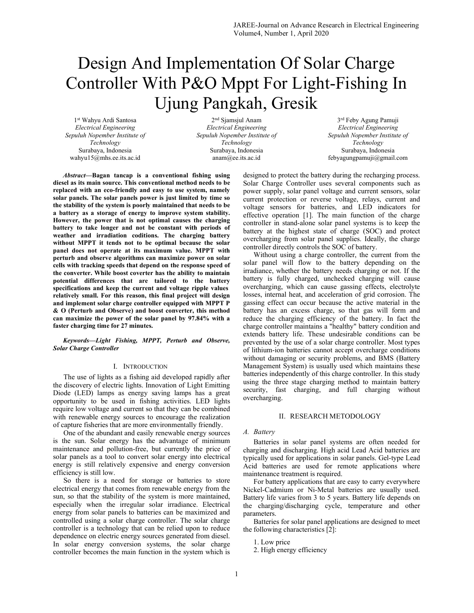# Design And Implementation Of Solar Charge Controller With P&O Mppt For Light-Fishing In Ujung Pangkah, Gresik

1 st Wahyu Ardi Santosa Electrical Engineering Sepuluh Nopember Institute of Technology Surabaya, Indonesia wahyu15@mhs.ee.its.ac.id

2 nd Sjamsjul Anam Electrical Engineering Sepuluh Nopember Institute of Technology Surabaya, Indonesia anam@ee.its.ac.id

3<sup>rd</sup> Feby Agung Pamuji Electrical Engineering Sepuluh Nopember Institute of Technology Surabaya, Indonesia febyagungpamuji@gmail.com

Abstract—Bagan tancap is a conventional fishing using diesel as its main source. This conventional method needs to be replaced with an eco-friendly and easy to use system, namely solar panels. The solar panels power is just limited by time so the stability of the system is poorly maintained that needs to be a battery as a storage of energy to improve system stability. However, the power that is not optimal causes the charging battery to take longer and not be constant with periods of weather and irradiation coditions. The charging battery without MPPT it tends not to be optimal because the solar panel does not operate at its maximum value. MPPT with perturb and observe algorithms can maximize power on solar cells with tracking speeds that depend on the response speed of the converter. While boost coverter has the ability to maintain potential differences that are tailored to the battery specifications and keep the current and voltage ripple values relatively small. For this reason, this final project will design and implement solar charge controller equipped with MPPT P & O (Perturb and Observe) and boost converter, this method can maximize the power of the solar panel by 97.84% with a faster charging time for 27 minutes.

# Keywords—Light Fishing, MPPT, Perturb and Observe, Solar Charge Controller

# I. INTRODUCTION

The use of lights as a fishing aid developed rapidly after the discovery of electric lights. Innovation of Light Emitting Diode (LED) lamps as energy saving lamps has a great opportunity to be used in fishing activities. LED lights require low voltage and current so that they can be combined with renewable energy sources to encourage the realization of capture fisheries that are more environmentally friendly.

One of the abundant and easily renewable energy sources is the sun. Solar energy has the advantage of minimum maintenance and pollution-free, but currently the price of solar panels as a tool to convert solar energy into electrical energy is still relatively expensive and energy conversion efficiency is still low.

So there is a need for storage or batteries to store electrical energy that comes from renewable energy from the sun, so that the stability of the system is more maintained, especially when the irregular solar irradiance. Electrical energy from solar panels to batteries can be maximized and controlled using a solar charge controller. The solar charge controller is a technology that can be relied upon to reduce dependence on electric energy sources generated from diesel. In solar energy conversion systems, the solar charge controller becomes the main function in the system which is

designed to protect the battery during the recharging process. Solar Charge Controller uses several components such as power supply, solar panel voltage and current sensors, solar current protection or reverse voltage, relays, current and voltage sensors for batteries, and LED indicators for effective operation [1]. The main function of the charge controller in stand-alone solar panel systems is to keep the battery at the highest state of charge (SOC) and protect overcharging from solar panel supplies. Ideally, the charge controller directly controls the SOC of battery.

Without using a charge controller, the current from the solar panel will flow to the battery depending on the irradiance, whether the battery needs charging or not. If the battery is fully charged, unchecked charging will cause overcharging, which can cause gassing effects, electrolyte losses, internal heat, and acceleration of grid corrosion. The gassing effect can occur because the active material in the battery has an excess charge, so that gas will form and reduce the charging efficiency of the battery. In fact the charge controller maintains a "healthy" battery condition and extends battery life. These undesirable conditions can be prevented by the use of a solar charge controller. Most types of lithium-ion batteries cannot accept overcharge conditions without damaging or security problems, and BMS (Battery Management System) is usually used which maintains these batteries independently of this charge controller. In this study using the three stage charging method to maintain battery security, fast charging, and full charging without overcharging.

#### II. RESEARCH METODOLOGY

#### A. Battery

Batteries in solar panel systems are often needed for charging and discharging. High acid Lead Acid batteries are typically used for applications in solar panels. Gel-type Lead Acid batteries are used for remote applications where maintenance treatment is required.

For battery applications that are easy to carry everywhere Nickel-Cadmium or Ni-Metal batteries are usually used. Battery life varies from 3 to 5 years. Battery life depends on the charging/discharging cycle, temperature and other parameters.

Batteries for solar panel applications are designed to meet the following characteristics  $\tilde{[2]}$ :

- 1. Low price
- 2. High energy efficiency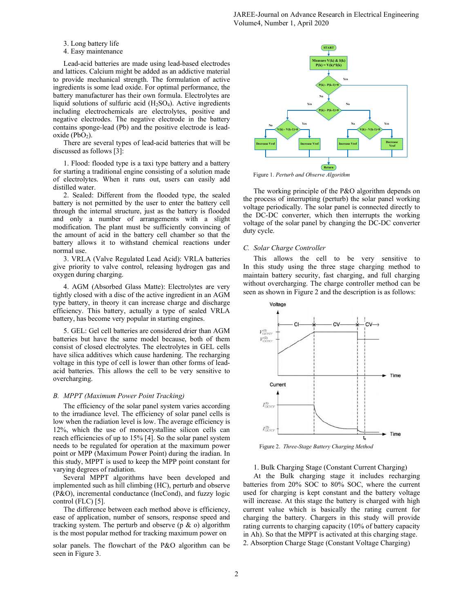JAREE-Journal on Advance Research in Electrical Engineering Volume4, Number 1, April 2020

3. Long battery life

4. Easy maintenance

Lead-acid batteries are made using lead-based electrodes and lattices. Calcium might be added as an addictive material to provide mechanical strength. The formulation of active ingredients is some lead oxide. For optimal performance, the battery manufacturer has their own formula. Electrolytes are liquid solutions of sulfuric acid  $(H_2SO_4)$ . Active ingredients including electrochemicals are electrolytes, positive and negative electrodes. The negative electrode in the battery contains sponge-lead (Pb) and the positive electrode is lead $oxide (PbO<sub>2</sub>)$ .

There are several types of lead-acid batteries that will be discussed as follows [3]:

1. Flood: flooded type is a taxi type battery and a battery for starting a traditional engine consisting of a solution made of electrolytes. When it runs out, users can easily add distilled water.

2. Sealed: Different from the flooded type, the sealed battery is not permitted by the user to enter the battery cell through the internal structure, just as the battery is flooded and only a number of arrangements with a slight modification. The plant must be sufficiently convincing of the amount of acid in the battery cell chamber so that the battery allows it to withstand chemical reactions under normal use.

3. VRLA (Valve Regulated Lead Acid): VRLA batteries give priority to valve control, releasing hydrogen gas and oxygen during charging.

4. AGM (Absorbed Glass Matte): Electrolytes are very tightly closed with a disc of the active ingredient in an AGM type battery, in theory it can increase charge and discharge efficiency. This battery, actually a type of sealed VRLA battery, has become very popular in starting engines.

5. GEL: Gel cell batteries are considered drier than AGM batteries but have the same model because, both of them consist of closed electrolytes. The electrolytes in GEL cells have silica additives which cause hardening. The recharging voltage in this type of cell is lower than other forms of leadacid batteries. This allows the cell to be very sensitive to overcharging.

## B. MPPT (Maximum Power Point Tracking)

The efficiency of the solar panel system varies according to the irradiance level. The efficiency of solar panel cells is low when the radiation level is low. The average efficiency is 12%, which the use of monocrystalline silicon cells can reach efficiencies of up to 15% [4]. So the solar panel system needs to be regulated for operation at the maximum power point or MPP (Maximum Power Point) during the iradian. In this study, MPPT is used to keep the MPP point constant for varying degrees of radiation.

Several MPPT algorithms have been developed and implemented such as hill climbing (HC), perturb and observe (P&O), incremental conductance (IncCond), and fuzzy logic control (FLC) [5].

The difference between each method above is efficiency, ease of application, number of sensors, response speed and tracking system. The perturb and observe ( $p \& o$ ) algorithm is the most popular method for tracking maximum power on

solar panels. The flowchart of the P&O algorithm can be seen in Figure 3.



Figure 1. Perturb and Observe Algorithm

The working principle of the P&O algorithm depends on the process of interrupting (perturb) the solar panel working voltage periodically. The solar panel is connected directly to the DC-DC converter, which then interrupts the working voltage of the solar panel by changing the DC-DC converter duty cycle.

# C. Solar Charge Controller

This allows the cell to be very sensitive to In this study using the three stage charging method to maintain battery security, fast charging, and full charging without overcharging. The charge controller method can be seen as shown in Figure 2 and the description is as follows:



Figure 2. Three-Stage Battery Charging Method

1. Bulk Charging Stage (Constant Current Charging)

At the Bulk charging stage it includes recharging batteries from 20% SOC to 80% SOC, where the current used for charging is kept constant and the battery voltage will increase. At this stage the battery is charged with high current value which is basically the rating current for charging the battery. Chargers in this study will provide rating currents to charging capacity (10% of battery capacity in Ah). So that the MPPT is activated at this charging stage. 2. Absorption Charge Stage (Constant Voltage Charging)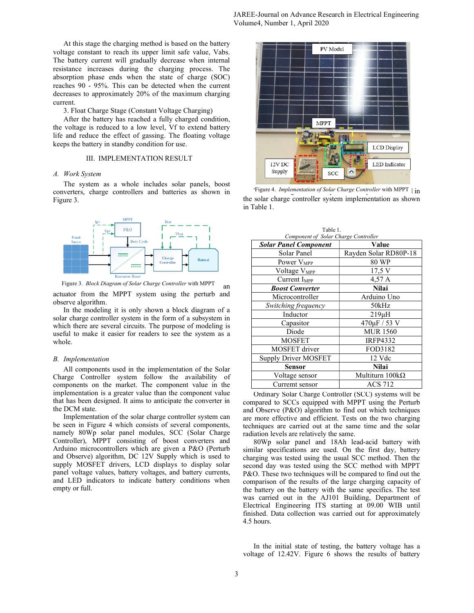At this stage the charging method is based on the battery voltage constant to reach its upper limit safe value, Vabs. The battery current will gradually decrease when internal resistance increases during the charging process. The absorption phase ends when the state of charge (SOC) reaches 90 - 95%. This can be detected when the current decreases to approximately 20% of the maximum charging current.

3. Float Charge Stage (Constant Voltage Charging)

After the battery has reached a fully charged condition, the voltage is reduced to a low level, Vf to extend battery life and reduce the effect of gassing. The floating voltage keeps the battery in standby condition for use.

## III. IMPLEMENTATION RESULT

# A. Work System

The system as a whole includes solar panels, boost converters, charge controllers and batteries as shown in Figure 3.



Figure 3. *Block Diagram of Solar Charge Controller* with MPPT an

actuator from the MPPT system using the perturb and observe algorithm.

In the modeling it is only shown a block diagram of a solar charge controller system in the form of a subsystem in which there are several circuits. The purpose of modeling is useful to make it easier for readers to see the system as a whole.

#### B. Implementation

All components used in the implementation of the Solar Charge Controller system follow the availability of components on the market. The component value in the implementation is a greater value than the component value that has been designed. It aims to anticipate the converter in the DCM state.

Implementation of the solar charge controller system can be seen in Figure 4 which consists of several components, namely 80Wp solar panel modules, SCC (Solar Charge Controller), MPPT consisting of boost converters and Arduino microcontrollers which are given a P&O (Perturb and Observe) algorithm, DC 12V Supply which is used to supply MOSFET drivers, LCD displays to display solar panel voltage values, battery voltages, and battery currents, and LED indicators to indicate battery conditions when empty or full.



Figure 4. Implementation of Solar Charge Controller with MPPT  $\frac{1}{n}$ the solar charge controller system implementation as shown in Table 1.

| Component of Solar Charge Controller |                       |
|--------------------------------------|-----------------------|
| <b>Solar Panel Component</b>         | Value                 |
| Solar Panel                          | Rayden Solar RD80P-18 |
| Power V <sub>MPP</sub>               | 80 WP                 |
| Voltage V <sub>MPP</sub>             | $17,5 \text{ V}$      |
| Current $I_{MPP}$                    | 4,57 A                |
| <b>Boost Converter</b>               | Nilai                 |
| Microcontroller                      | Arduino Uno           |
| Switching frequency                  | 50kHz                 |
| Inductor                             | $219\mu H$            |
| Capasitor                            | $470 \mu F / 53 V$    |
| Diode                                | <b>MUR 1560</b>       |
| <b>MOSFET</b>                        | <b>IRFP4332</b>       |
| MOSFET driver                        | FOD3182               |
| <b>Supply Driver MOSFET</b>          | 12 Vdc                |
| Sensor                               | <b>Nilai</b>          |
| Voltage sensor                       | Multiturn 100kΩ       |
| Curremt sensor                       | ACS 712               |

Table 1.

 Ordinary Solar Charge Controller (SCC) systems will be compared to SCCs equipped with MPPT using the Perturb and Observe (P&O) algorithm to find out which techniques are more effective and efficient. Tests on the two charging techniques are carried out at the same time and the solar radiation levels are relatively the same.

 80Wp solar panel and 18Ah lead-acid battery with similar specifications are used. On the first day, battery charging was tested using the usual SCC method. Then the second day was tested using the SCC method with MPPT P&O. These two techniques will be compared to find out the comparison of the results of the large charging capacity of the battery on the battery with the same specifics. The test was carried out in the AJ101 Building, Department of Electrical Engineering ITS starting at 09.00 WIB until finished. Data collection was carried out for approximately 4.5 hours.

In the initial state of testing, the battery voltage has a voltage of 12.42V. Figure 6 shows the results of battery